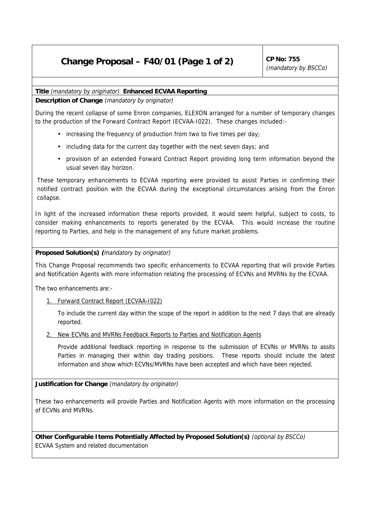## **Change Proposal – F40/01 (Page 1 of 2)**  $\int^{CP}$  No: 755

(mandatory by BSCCo)

## **Title** (mandatory by originator) **Enhanced ECVAA Reporting**

**Description of Change** (mandatory by originator)

During the recent collapse of some Enron companies, ELEXON arranged for a number of temporary changes to the production of the Forward Contract Report (ECVAA-I022). These changes included:-

- increasing the frequency of production from two to five times per day;
- including data for the current day together with the next seven days; and
- provision of an extended Forward Contract Report providing long term information beyond the usual seven day horizon.

These temporary enhancements to ECVAA reporting were provided to assist Parties in confirming their notified contract position with the ECVAA during the exceptional circumstances arising from the Enron collapse.

In light of the increased information these reports provided, it would seem helpful, subject to costs, to consider making enhancements to reports generated by the ECVAA. This would increase the routine reporting to Parties, and help in the management of any future market problems.

## **Proposed Solution(s) (**mandatory by originator)

This Change Proposal recommends two specific enhancements to ECVAA reporting that will provide Parties and Notification Agents with more information relating the processing of ECVNs and MVRNs by the ECVAA.

The two enhancements are:-

1. Forward Contract Report (ECVAA-I022)

To include the current day within the scope of the report in addition to the next 7 days that are already reported.

2. New ECVNs and MVRNs Feedback Reports to Parties and Notification Agents

Provide additional feedback reporting in response to the submission of ECVNs or MVRNs to assits Parties in managing their within day trading positions. These reports should include the latest information and show which ECVNs/MVRNs have been accepted and which have been rejected.

**Justification for Change** (mandatory by originator)

These two enhancements will provide Parties and Notification Agents with more information on the processing of ECVNs and MVRNs.

**Other Configurable Items Potentially Affected by Proposed Solution(s)** (optional by BSCCo) ECVAA System and related documentation